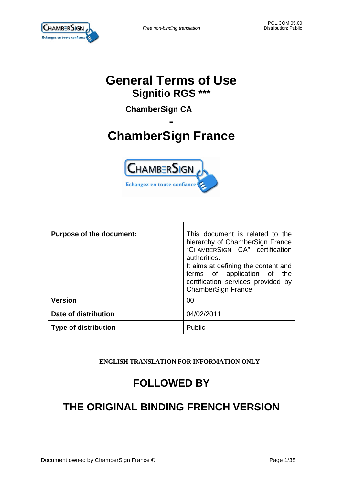

 $\overline{\phantom{a}}$ 



 $\Gamma$ 

| <b>General Terms of Use</b><br><b>Signitio RGS ***</b><br><b>ChamberSign CA</b><br><b>ChamberSign France</b><br><b>CHAMBERSIGN</b><br>Echangez en toute confiance |                                                                                                                                                                                                                                                               |  |
|-------------------------------------------------------------------------------------------------------------------------------------------------------------------|---------------------------------------------------------------------------------------------------------------------------------------------------------------------------------------------------------------------------------------------------------------|--|
| <b>Purpose of the document:</b>                                                                                                                                   | This document is related to the<br>hierarchy of ChamberSign France<br>"CHAMBERSIGN CA" certification<br>authorities.<br>It aims at defining the content and<br>terms of application of the<br>certification services provided by<br><b>ChamberSign France</b> |  |
| <b>Version</b>                                                                                                                                                    | 00                                                                                                                                                                                                                                                            |  |
| Date of distribution                                                                                                                                              | 04/02/2011                                                                                                                                                                                                                                                    |  |
| <b>Type of distribution</b>                                                                                                                                       | Public                                                                                                                                                                                                                                                        |  |

**ENGLISH TRANSLATION FOR INFORMATION ONLY**

# **FOLLOWED BY**

# **THE ORIGINAL BINDING FRENCH VERSION**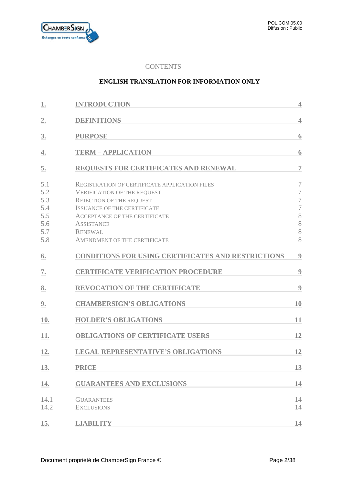

# **CONTENTS**

### **ENGLISH TRANSLATION FOR INFORMATION ONLY**

| 1.                                                   | <b>INTRODUCTION</b>                                                                                                                                                                                                                                                                | $\overline{4}$                                                                        |
|------------------------------------------------------|------------------------------------------------------------------------------------------------------------------------------------------------------------------------------------------------------------------------------------------------------------------------------------|---------------------------------------------------------------------------------------|
| 2.                                                   | <b>DEFINITIONS</b>                                                                                                                                                                                                                                                                 | $\overline{4}$                                                                        |
| 3.                                                   | <b>PURPOSE</b>                                                                                                                                                                                                                                                                     | 6                                                                                     |
| 4.                                                   | <b>TERM - APPLICATION</b>                                                                                                                                                                                                                                                          | 6                                                                                     |
| 5.                                                   | <b>REQUESTS FOR CERTIFICATES AND RENEWAL</b>                                                                                                                                                                                                                                       | $\overline{7}$                                                                        |
| 5.1<br>5.2<br>5.3<br>5.4<br>5.5<br>5.6<br>5.7<br>5.8 | <b>REGISTRATION OF CERTIFICATE APPLICATION FILES</b><br><b>VERIFICATION OF THE REQUEST</b><br><b>REJECTION OF THE REQUEST</b><br><b>ISSUANCE OF THE CERTIFICATE</b><br>ACCEPTANCE OF THE CERTIFICATE<br><b>ASSISTANCE</b><br><b>RENEWAL</b><br><b>AMENDMENT OF THE CERTIFICATE</b> | 7<br>$\overline{7}$<br>$\overline{7}$<br>$\overline{\mathcal{I}}$<br>8<br>8<br>8<br>8 |
| 6.                                                   | <b>CONDITIONS FOR USING CERTIFICATES AND RESTRICTIONS</b>                                                                                                                                                                                                                          | 9                                                                                     |
| 7.                                                   | <b>CERTIFICATE VERIFICATION PROCEDURE</b>                                                                                                                                                                                                                                          | 9                                                                                     |
| 8.                                                   | <b>REVOCATION OF THE CERTIFICATE</b>                                                                                                                                                                                                                                               | 9                                                                                     |
| 9.                                                   | <b>CHAMBERSIGN'S OBLIGATIONS</b>                                                                                                                                                                                                                                                   | 10                                                                                    |
| 10.                                                  | <b>HOLDER'S OBLIGATIONS</b>                                                                                                                                                                                                                                                        | 11                                                                                    |
| 11.                                                  | <b>OBLIGATIONS OF CERTIFICATE USERS</b>                                                                                                                                                                                                                                            | 12                                                                                    |
| 12.                                                  | <b>LEGAL REPRESENTATIVE'S OBLIGATIONS</b>                                                                                                                                                                                                                                          | 12                                                                                    |
| 13.                                                  | <b>PRICE</b>                                                                                                                                                                                                                                                                       | 13                                                                                    |
| 14.                                                  | <b>GUARANTEES AND EXCLUSIONS</b>                                                                                                                                                                                                                                                   | 14                                                                                    |
| 14.1<br>14.2                                         | <b>GUARANTEES</b><br><b>EXCLUSIONS</b>                                                                                                                                                                                                                                             | 14<br>14                                                                              |
| 15.                                                  | <b>LIABILITY</b>                                                                                                                                                                                                                                                                   | 14                                                                                    |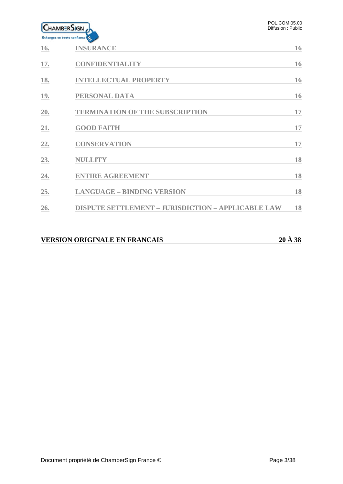

| 16.        | <b>INSURANCE</b>                                          | 16 |
|------------|-----------------------------------------------------------|----|
| 17.        | <b>CONFIDENTIALITY</b>                                    | 16 |
| 18.        | <b>INTELLECTUAL PROPERTY</b>                              | 16 |
| <b>19.</b> | PERSONAL DATA                                             | 16 |
| 20.        | <b>TERMINATION OF THE SUBSCRIPTION</b>                    | 17 |
| 21.        | <b>GOOD FAITH</b>                                         | 17 |
| 22.        | <b>CONSERVATION</b>                                       | 17 |
| 23.        | <b>NULLITY</b>                                            | 18 |
| 24.        | <b>ENTIRE AGREEMENT</b>                                   | 18 |
| 25.        | <b>LANGUAGE - BINDING VERSION</b>                         | 18 |
| 26.        | <b>DISPUTE SETTLEMENT - JURISDICTION - APPLICABLE LAW</b> | 18 |
|            |                                                           |    |

# **VERSION ORIGINALE EN FRANCAIS 20 À 38**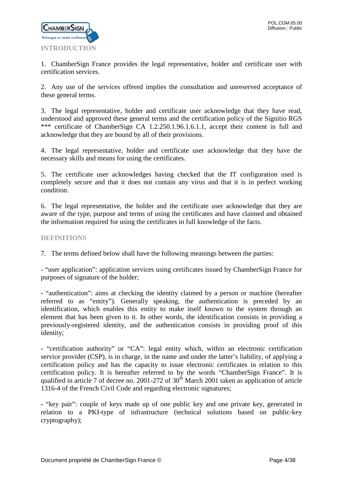

<span id="page-3-0"></span>1. ChamberSign France provides the legal representative, holder and certificate user with certification services.

2. Any use of the services offered implies the consultation and unreserved acceptance of these general terms.

3. The legal representative, holder and certificate user acknowledge that they have read, understood and approved these general terms and the certification policy of the Signitio RGS \*\*\* certificate of ChamberSign CA 1.2.250.1.96.1.6.1.1, accept their content in full and acknowledge that they are bound by all of their provisions.

4. The legal representative, holder and certificate user acknowledge that they have the necessary skills and means for using the certificates.

5. The certificate user acknowledges having checked that the IT configuration used is completely secure and that it does not contain any virus and that it is in perfect working condition.

6. The legal representative, the holder and the certificate user acknowledge that they are aware of the type, purpose and terms of using the certificates and have claimed and obtained the information required for using the certificates in full knowledge of the facts.

# <span id="page-3-1"></span>**DEFINITIONS**

7. The terms defined below shall have the following meanings between the parties:

- "user application": application services using certificates issued by ChamberSign France for purposes of signature of the holder;

- "authentication": aims at checking the identity claimed by a person or machine (hereafter referred to as "entity"). Generally speaking, the authentication is preceded by an identification, which enables this entity to make itself known to the system through an element that has been given to it. In other words, the identification consists in providing a previously-registered identity, and the authentication consists in providing proof of this identity;

- "certification authority" or "CA": legal entity which, within an electronic certification service provider (CSP), is in charge, in the name and under the latter's liability, of applying a certification policy and has the capacity to issue electronic certificates in relation to this certification policy. It is hereafter referred to by the words "ChamberSign France". It is qualified in article 7 of decree no. 2001-272 of  $30<sup>th</sup>$  March 2001 taken as application of article 1316-4 of the French Civil Code and regarding electronic signatures;

**-** "key pair": couple of keys made up of one public key and one private key, generated in relation to a PKI-type of infrastructure (technical solutions based on public-key cryptography);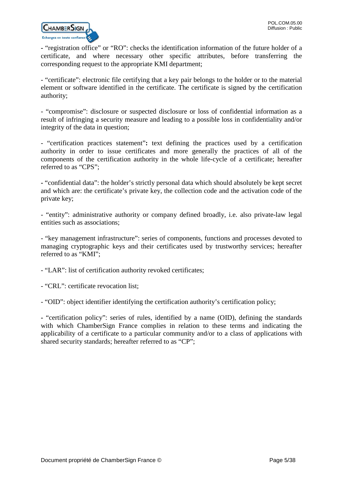

**-** "registration office" or "RO": checks the identification information of the future holder of a certificate, and where necessary other specific attributes, before transferring the corresponding request to the appropriate KMI department;

- "certificate": electronic file certifying that a key pair belongs to the holder or to the material element or software identified in the certificate. The certificate is signed by the certification authority;

- "compromise": disclosure or suspected disclosure or loss of confidential information as a result of infringing a security measure and leading to a possible loss in confidentiality and/or integrity of the data in question;

- "certification practices statement"**:** text defining the practices used by a certification authority in order to issue certificates and more generally the practices of all of the components of the certification authority in the whole life-cycle of a certificate; hereafter referred to as "CPS";

**-** "confidential data": the holder's strictly personal data which should absolutely be kept secret and which are: the certificate's private key, the collection code and the activation code of the private key;

- "entity": administrative authority or company defined broadly, i.e. also private-law legal entities such as associations;

- "key management infrastructure": series of components, functions and processes devoted to managing cryptographic keys and their certificates used by trustworthy services; hereafter referred to as "KMI";

- "LAR": list of certification authority revoked certificates;

- "CRL": certificate revocation list;

- "OID": object identifier identifying the certification authority's certification policy;

**-** "certification policy": series of rules, identified by a name (OID), defining the standards with which ChamberSign France complies in relation to these terms and indicating the applicability of a certificate to a particular community and/or to a class of applications with shared security standards; hereafter referred to as "CP";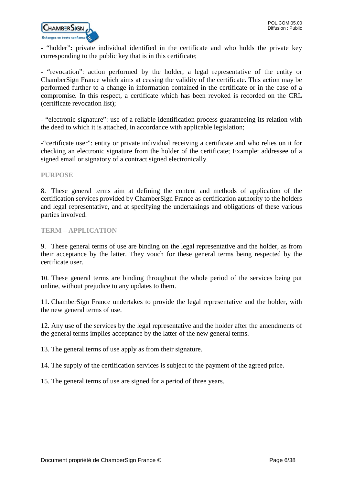

**-** "holder"**:** private individual identified in the certificate and who holds the private key corresponding to the public key that is in this certificate;

**-** "revocation": action performed by the holder, a legal representative of the entity or ChamberSign France which aims at ceasing the validity of the certificate. This action may be performed further to a change in information contained in the certificate or in the case of a compromise. In this respect, a certificate which has been revoked is recorded on the CRL (certificate revocation list);

**-** "electronic signature": use of a reliable identification process guaranteeing its relation with the deed to which it is attached, in accordance with applicable legislation;

-"certificate user": entity or private individual receiving a certificate and who relies on it for checking an electronic signature from the holder of the certificate; Example: addressee of a signed email or signatory of a contract signed electronically.

<span id="page-5-0"></span>**PURPOSE**

8. These general terms aim at defining the content and methods of application of the certification services provided by ChamberSign France as certification authority to the holders and legal representative, and at specifying the undertakings and obligations of these various parties involved.

# <span id="page-5-1"></span>**TERM – APPLICATION**

9. These general terms of use are binding on the legal representative and the holder, as from their acceptance by the latter. They vouch for these general terms being respected by the certificate user.

10. These general terms are binding throughout the whole period of the services being put online, without prejudice to any updates to them.

11. ChamberSign France undertakes to provide the legal representative and the holder, with the new general terms of use.

12. Any use of the services by the legal representative and the holder after the amendments of the general terms implies acceptance by the latter of the new general terms.

13. The general terms of use apply as from their signature.

14. The supply of the certification services is subject to the payment of the agreed price.

15. The general terms of use are signed for a period of three years.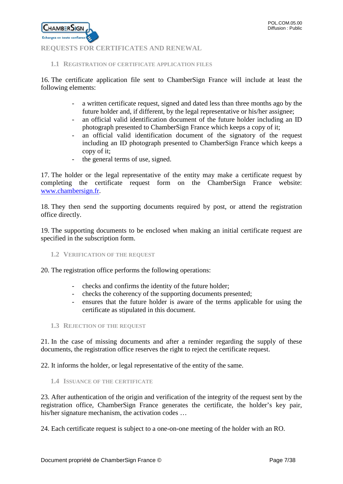

# <span id="page-6-0"></span>**REQUESTS FOR CERTIFICATES AND RENEWAL**

# <span id="page-6-1"></span>**1.1 REGISTRATION OF CERTIFICATE APPLICATION FILES**

16. The certificate application file sent to ChamberSign France will include at least the following elements:

- a written certificate request, signed and dated less than three months ago by the future holder and, if different, by the legal representative or his/her assignee;
- an official valid identification document of the future holder including an ID photograph presented to ChamberSign France which keeps a copy of it;
- an official valid identification document of the signatory of the request including an ID photograph presented to ChamberSign France which keeps a copy of it;
- the general terms of use, signed.

17. The holder or the legal representative of the entity may make a certificate request by completing the certificate request form on the ChamberSign France website: [www.chambersign.fr.](http://www.chambersign.fr/)

18. They then send the supporting documents required by post, or attend the registration office directly.

19. The supporting documents to be enclosed when making an initial certificate request are specified in the subscription form.

# <span id="page-6-2"></span>**1.2 VERIFICATION OF THE REQUEST**

20. The registration office performs the following operations:

- checks and confirms the identity of the future holder;
- checks the coherency of the supporting documents presented;
- ensures that the future holder is aware of the terms applicable for using the certificate as stipulated in this document.

#### <span id="page-6-3"></span>**1.3 REJECTION OF THE REQUEST**

21. In the case of missing documents and after a reminder regarding the supply of these documents, the registration office reserves the right to reject the certificate request.

22. It informs the holder, or legal representative of the entity of the same.

<span id="page-6-4"></span>**1.4 ISSUANCE OF THE CERTIFICATE**

23. After authentication of the origin and verification of the integrity of the request sent by the registration office, ChamberSign France generates the certificate, the holder's key pair, his/her signature mechanism, the activation codes …

24. Each certificate request is subject to a one-on-one meeting of the holder with an RO.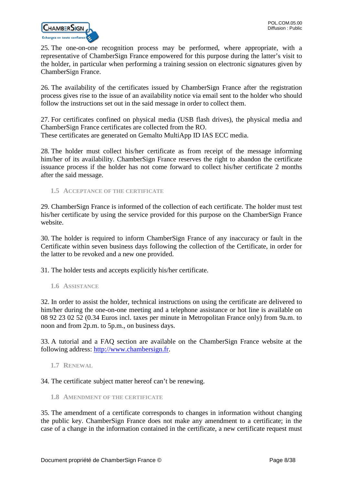

25. The one-on-one recognition process may be performed, where appropriate, with a representative of ChamberSign France empowered for this purpose during the latter's visit to the holder, in particular when performing a training session on electronic signatures given by ChamberSign France.

26. The availability of the certificates issued by ChamberSign France after the registration process gives rise to the issue of an availability notice via email sent to the holder who should follow the instructions set out in the said message in order to collect them.

27. For certificates confined on physical media (USB flash drives), the physical media and ChamberSign France certificates are collected from the RO. These certificates are generated on Gemalto MultiApp ID IAS ECC media.

28. The holder must collect his/her certificate as from receipt of the message informing him/her of its availability. ChamberSign France reserves the right to abandon the certificate issuance process if the holder has not come forward to collect his/her certificate 2 months after the said message.

<span id="page-7-0"></span>**1.5 ACCEPTANCE OF THE CERTIFICATE**

29. ChamberSign France is informed of the collection of each certificate. The holder must test his/her certificate by using the service provided for this purpose on the ChamberSign France website.

30. The holder is required to inform ChamberSign France of any inaccuracy or fault in the Certificate within seven business days following the collection of the Certificate, in order for the latter to be revoked and a new one provided.

31. The holder tests and accepts explicitly his/her certificate.

<span id="page-7-1"></span>**1.6 ASSISTANCE**

32. In order to assist the holder, technical instructions on using the certificate are delivered to him/her during the one-on-one meeting and a telephone assistance or hot line is available on 08 92 23 02 52 (0.34 Euros incl. taxes per minute in Metropolitan France only) from 9a.m. to noon and from 2p.m. to 5p.m., on business days.

33. A tutorial and a FAQ section are available on the ChamberSign France website at the following address: [http://www.chambersign.fr.](http://www.chambersign.fr/)

<span id="page-7-2"></span>**1.7 RENEWAL**

34. The certificate subject matter hereof can't be renewing.

<span id="page-7-3"></span>**1.8 AMENDMENT OF THE CERTIFICATE**

35. The amendment of a certificate corresponds to changes in information without changing the public key. ChamberSign France does not make any amendment to a certificate; in the case of a change in the information contained in the certificate, a new certificate request must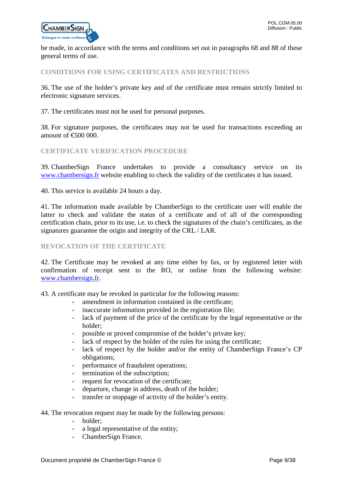

be made, in accordance with the terms and conditions set out in paragraphs 68 and 88 of these general terms of use.

# <span id="page-8-0"></span>**CONDITIONS FOR USING CERTIFICATES AND RESTRICTIONS**

36. The use of the holder's private key and of the certificate must remain strictly limited to electronic signature services.

37. The certificates must not be used for personal purposes.

38. For signature purposes, the certificates may not be used for transactions exceeding an amount of €500 000.

# <span id="page-8-1"></span>**CERTIFICATE VERIFICATION PROCEDURE**

39. ChamberSign France undertakes to provide a consultancy service on its [www.chambersign.fr](http://www.chambersign.fr/) website enabling to check the validity of the certificates it has issued.

40. This service is available 24 hours a day.

41. The information made available by ChamberSign to the certificate user will enable the latter to check and validate the status of a certificate and of all of the corresponding certification chain, prior to its use, i.e. to check the signatures of the chain's certificates, as the signatures guarantee the origin and integrity of the CRL / LAR.

# <span id="page-8-2"></span>**REVOCATION OF THE CERTIFICATE**

42. The Certificate may be revoked at any time either by fax, or by registered letter with confirmation of receipt sent to the RO, or online from the following website: [www.chambersign.fr.](http://www.chambersign.fr/)

43. A certificate may be revoked in particular for the following reasons:

- amendment in information contained in the certificate;
- inaccurate information provided in the registration file;
- lack of payment of the price of the certificate by the legal representative or the holder;
- possible or proved compromise of the holder's private key;
- lack of respect by the holder of the rules for using the certificate;
- lack of respect by the holder and/or the entity of ChamberSign France's CP obligations;
- performance of fraudulent operations;
- termination of the subscription;
- request for revocation of the certificate;
- departure, change in address, death of the holder;
- transfer or stoppage of activity of the holder's entity.

#### 44. The revocation request may be made by the following persons:

- holder;
- a legal representative of the entity;
- ChamberSign France.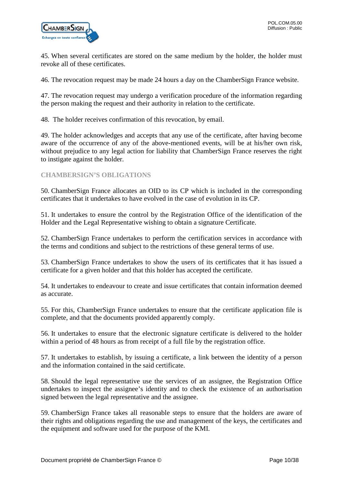

45. When several certificates are stored on the same medium by the holder, the holder must revoke all of these certificates.

46. The revocation request may be made 24 hours a day on the ChamberSign France website.

47. The revocation request may undergo a verification procedure of the information regarding the person making the request and their authority in relation to the certificate.

48. The holder receives confirmation of this revocation, by email.

49. The holder acknowledges and accepts that any use of the certificate, after having become aware of the occurrence of any of the above-mentioned events, will be at his/her own risk, without prejudice to any legal action for liability that ChamberSign France reserves the right to instigate against the holder.

# <span id="page-9-0"></span>**CHAMBERSIGN'S OBLIGATIONS**

50. ChamberSign France allocates an OID to its CP which is included in the corresponding certificates that it undertakes to have evolved in the case of evolution in its CP.

51. It undertakes to ensure the control by the Registration Office of the identification of the Holder and the Legal Representative wishing to obtain a signature Certificate.

52. ChamberSign France undertakes to perform the certification services in accordance with the terms and conditions and subject to the restrictions of these general terms of use.

53. ChamberSign France undertakes to show the users of its certificates that it has issued a certificate for a given holder and that this holder has accepted the certificate.

54. It undertakes to endeavour to create and issue certificates that contain information deemed as accurate.

55. For this, ChamberSign France undertakes to ensure that the certificate application file is complete, and that the documents provided apparently comply.

56. It undertakes to ensure that the electronic signature certificate is delivered to the holder within a period of 48 hours as from receipt of a full file by the registration office.

57. It undertakes to establish, by issuing a certificate, a link between the identity of a person and the information contained in the said certificate.

58. Should the legal representative use the services of an assignee, the Registration Office undertakes to inspect the assignee's identity and to check the existence of an authorisation signed between the legal representative and the assignee.

59. ChamberSign France takes all reasonable steps to ensure that the holders are aware of their rights and obligations regarding the use and management of the keys, the certificates and the equipment and software used for the purpose of the KMI.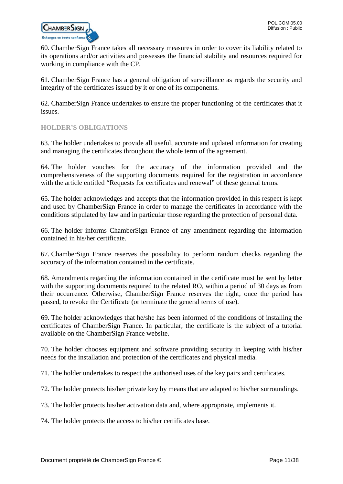

60. ChamberSign France takes all necessary measures in order to cover its liability related to its operations and/or activities and possesses the financial stability and resources required for working in compliance with the CP.

61. ChamberSign France has a general obligation of surveillance as regards the security and integrity of the certificates issued by it or one of its components.

62. ChamberSign France undertakes to ensure the proper functioning of the certificates that it issues.

# <span id="page-10-0"></span>**HOLDER'S OBLIGATIONS**

63. The holder undertakes to provide all useful, accurate and updated information for creating and managing the certificates throughout the whole term of the agreement.

64. The holder vouches for the accuracy of the information provided and the comprehensiveness of the supporting documents required for the registration in accordance with the article entitled "Requests for certificates and renewal" of these general terms.

65. The holder acknowledges and accepts that the information provided in this respect is kept and used by ChamberSign France in order to manage the certificates in accordance with the conditions stipulated by law and in particular those regarding the protection of personal data.

66. The holder informs ChamberSign France of any amendment regarding the information contained in his/her certificate.

67. ChamberSign France reserves the possibility to perform random checks regarding the accuracy of the information contained in the certificate.

68. Amendments regarding the information contained in the certificate must be sent by letter with the supporting documents required to the related RO, within a period of 30 days as from their occurrence. Otherwise, ChamberSign France reserves the right, once the period has passed, to revoke the Certificate (or terminate the general terms of use).

69. The holder acknowledges that he/she has been informed of the conditions of installing the certificates of ChamberSign France. In particular, the certificate is the subject of a tutorial available on the ChamberSign France website.

70. The holder chooses equipment and software providing security in keeping with his/her needs for the installation and protection of the certificates and physical media.

71. The holder undertakes to respect the authorised uses of the key pairs and certificates.

72. The holder protects his/her private key by means that are adapted to his/her surroundings.

73. The holder protects his/her activation data and, where appropriate, implements it.

74. The holder protects the access to his/her certificates base.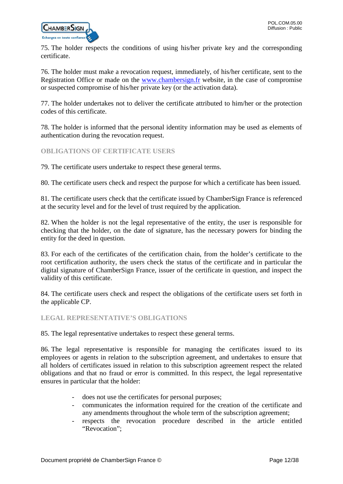

75. The holder respects the conditions of using his/her private key and the corresponding certificate.

76. The holder must make a revocation request, immediately, of his/her certificate, sent to the Registration Office or made on the [www.chambersign.fr](http://www.chambersign.fr/) website, in the case of compromise or suspected compromise of his/her private key (or the activation data).

77. The holder undertakes not to deliver the certificate attributed to him/her or the protection codes of this certificate.

78. The holder is informed that the personal identity information may be used as elements of authentication during the revocation request.

# <span id="page-11-0"></span>**OBLIGATIONS OF CERTIFICATE USERS**

79. The certificate users undertake to respect these general terms.

80. The certificate users check and respect the purpose for which a certificate has been issued.

81. The certificate users check that the certificate issued by ChamberSign France is referenced at the security level and for the level of trust required by the application.

82. When the holder is not the legal representative of the entity, the user is responsible for checking that the holder, on the date of signature, has the necessary powers for binding the entity for the deed in question.

83. For each of the certificates of the certification chain, from the holder's certificate to the root certification authority, the users check the status of the certificate and in particular the digital signature of ChamberSign France, issuer of the certificate in question, and inspect the validity of this certificate.

84. The certificate users check and respect the obligations of the certificate users set forth in the applicable CP.

#### <span id="page-11-1"></span>**LEGAL REPRESENTATIVE'S OBLIGATIONS**

85. The legal representative undertakes to respect these general terms.

86. The legal representative is responsible for managing the certificates issued to its employees or agents in relation to the subscription agreement, and undertakes to ensure that all holders of certificates issued in relation to this subscription agreement respect the related obligations and that no fraud or error is committed. In this respect, the legal representative ensures in particular that the holder:

- does not use the certificates for personal purposes;
- communicates the information required for the creation of the certificate and any amendments throughout the whole term of the subscription agreement;
- respects the revocation procedure described in the article entitled "Revocation";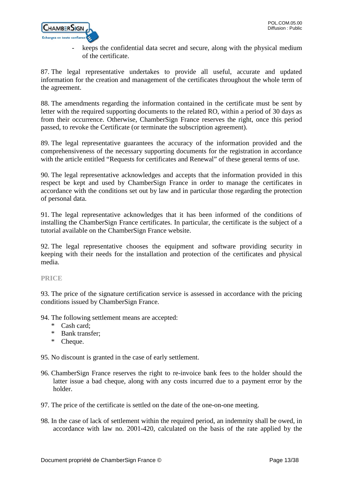

- keeps the confidential data secret and secure, along with the physical medium of the certificate.

87. The legal representative undertakes to provide all useful, accurate and updated information for the creation and management of the certificates throughout the whole term of the agreement.

88. The amendments regarding the information contained in the certificate must be sent by letter with the required supporting documents to the related RO, within a period of 30 days as from their occurrence. Otherwise, ChamberSign France reserves the right, once this period passed, to revoke the Certificate (or terminate the subscription agreement).

89. The legal representative guarantees the accuracy of the information provided and the comprehensiveness of the necessary supporting documents for the registration in accordance with the article entitled "Requests for certificates and Renewal" of these general terms of use.

90. The legal representative acknowledges and accepts that the information provided in this respect be kept and used by ChamberSign France in order to manage the certificates in accordance with the conditions set out by law and in particular those regarding the protection of personal data.

91. The legal representative acknowledges that it has been informed of the conditions of installing the ChamberSign France certificates. In particular, the certificate is the subject of a tutorial available on the ChamberSign France website.

92. The legal representative chooses the equipment and software providing security in keeping with their needs for the installation and protection of the certificates and physical media.

<span id="page-12-0"></span>**PRICE**

93. The price of the signature certification service is assessed in accordance with the pricing conditions issued by ChamberSign France.

94. The following settlement means are accepted:

- \* Cash card;
- \* Bank transfer;
- \* Cheque.

95. No discount is granted in the case of early settlement.

- 96. ChamberSign France reserves the right to re-invoice bank fees to the holder should the latter issue a bad cheque, along with any costs incurred due to a payment error by the holder.
- 97. The price of the certificate is settled on the date of the one-on-one meeting.
- 98. In the case of lack of settlement within the required period, an indemnity shall be owed, in accordance with law no. 2001-420, calculated on the basis of the rate applied by the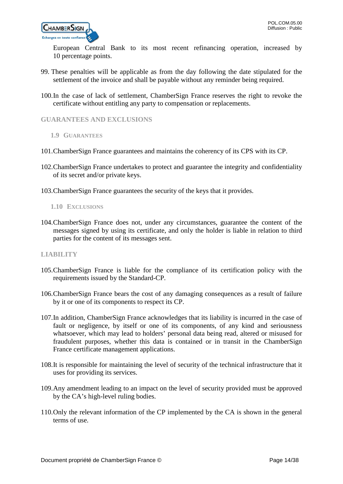

European Central Bank to its most recent refinancing operation, increased by 10 percentage points.

- 99. These penalties will be applicable as from the day following the date stipulated for the settlement of the invoice and shall be payable without any reminder being required.
- 100.In the case of lack of settlement, ChamberSign France reserves the right to revoke the certificate without entitling any party to compensation or replacements.

# <span id="page-13-0"></span>**GUARANTEES AND EXCLUSIONS**

- <span id="page-13-1"></span>**1.9 GUARANTEES**
- 101.ChamberSign France guarantees and maintains the coherency of its CPS with its CP.
- 102.ChamberSign France undertakes to protect and guarantee the integrity and confidentiality of its secret and/or private keys.
- <span id="page-13-2"></span>103.ChamberSign France guarantees the security of the keys that it provides.
	- **1.10 EXCLUSIONS**
- 104.ChamberSign France does not, under any circumstances, guarantee the content of the messages signed by using its certificate, and only the holder is liable in relation to third parties for the content of its messages sent.

## <span id="page-13-3"></span>**LIABILITY**

- 105.ChamberSign France is liable for the compliance of its certification policy with the requirements issued by the Standard-CP.
- 106.ChamberSign France bears the cost of any damaging consequences as a result of failure by it or one of its components to respect its CP.
- 107.In addition, ChamberSign France acknowledges that its liability is incurred in the case of fault or negligence, by itself or one of its components, of any kind and seriousness whatsoever, which may lead to holders' personal data being read, altered or misused for fraudulent purposes, whether this data is contained or in transit in the ChamberSign France certificate management applications.
- 108.It is responsible for maintaining the level of security of the technical infrastructure that it uses for providing its services.
- 109.Any amendment leading to an impact on the level of security provided must be approved by the CA's high-level ruling bodies.
- 110.Only the relevant information of the CP implemented by the CA is shown in the general terms of use.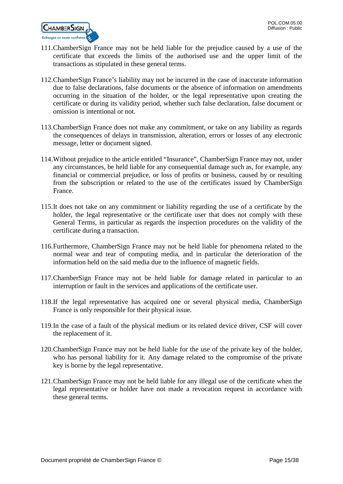

- 111.ChamberSign France may not be held liable for the prejudice caused by a use of the certificate that exceeds the limits of the authorised use and the upper limit of the transactions as stipulated in these general terms.
- 112.ChamberSign France's liability may not be incurred in the case of inaccurate information due to false declarations, false documents or the absence of information on amendments occurring in the situation of the holder, or the legal representative upon creating the certificate or during its validity period, whether such false declaration, false document or omission is intentional or not.
- 113.ChamberSign France does not make any commitment, or take on any liability as regards the consequences of delays in transmission, alteration, errors or losses of any electronic message, letter or document signed.
- 114.Without prejudice to the article entitled "Insurance", ChamberSign France may not, under any circumstances, be held liable for any consequential damage such as, for example, any financial or commercial prejudice, or loss of profits or business, caused by or resulting from the subscription or related to the use of the certificates issued by ChamberSign France.
- 115.It does not take on any commitment or liability regarding the use of a certificate by the holder, the legal representative or the certificate user that does not comply with these General Terms, in particular as regards the inspection procedures on the validity of the certificate during a transaction.
- 116.Furthermore, ChamberSign France may not be held liable for phenomena related to the normal wear and tear of computing media, and in particular the deterioration of the information held on the said media due to the influence of magnetic fields.
- 117.ChamberSign France may not be held liable for damage related in particular to an interruption or fault in the services and applications of the certificate user.
- 118.If the legal representative has acquired one or several physical media, ChamberSign France is only responsible for their physical issue.
- 119.In the case of a fault of the physical medium or its related device driver, CSF will cover the replacement of it.
- 120.ChamberSign France may not be held liable for the use of the private key of the holder, who has personal liability for it. Any damage related to the compromise of the private key is borne by the legal representative.
- 121.ChamberSign France may not be held liable for any illegal use of the certificate when the legal representative or holder have not made a revocation request in accordance with these general terms.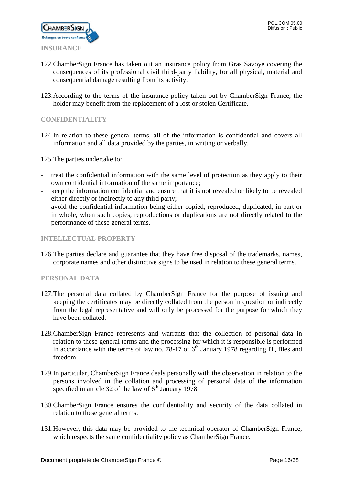

- <span id="page-15-0"></span>122.ChamberSign France has taken out an insurance policy from Gras Savoye covering the consequences of its professional civil third-party liability, for all physical, material and consequential damage resulting from its activity.
- 123.According to the terms of the insurance policy taken out by ChamberSign France, the holder may benefit from the replacement of a lost or stolen Certificate.

# <span id="page-15-1"></span>**CONFIDENTIALITY**

124.In relation to these general terms, all of the information is confidential and covers all information and all data provided by the parties, in writing or verbally.

125.The parties undertake to:

- treat the confidential information with the same level of protection as they apply to their own confidential information of the same importance;
- keep the information confidential and ensure that it is not revealed or likely to be revealed either directly or indirectly to any third party;
- avoid the confidential information being either copied, reproduced, duplicated, in part or in whole, when such copies, reproductions or duplications are not directly related to the performance of these general terms.

# <span id="page-15-2"></span>**INTELLECTUAL PROPERTY**

126.The parties declare and guarantee that they have free disposal of the trademarks, names, corporate names and other distinctive signs to be used in relation to these general terms.

# <span id="page-15-3"></span>**PERSONAL DATA**

- 127.The personal data collated by ChamberSign France for the purpose of issuing and keeping the certificates may be directly collated from the person in question or indirectly from the legal representative and will only be processed for the purpose for which they have been collated.
- 128.ChamberSign France represents and warrants that the collection of personal data in relation to these general terms and the processing for which it is responsible is performed in accordance with the terms of law no. 78-17 of  $6<sup>th</sup>$  January 1978 regarding IT, files and freedom.
- 129.In particular, ChamberSign France deals personally with the observation in relation to the persons involved in the collation and processing of personal data of the information specified in article 32 of the law of  $6<sup>th</sup>$  January 1978.
- 130.ChamberSign France ensures the confidentiality and security of the data collated in relation to these general terms.
- 131.However, this data may be provided to the technical operator of ChamberSign France, which respects the same confidentiality policy as ChamberSign France.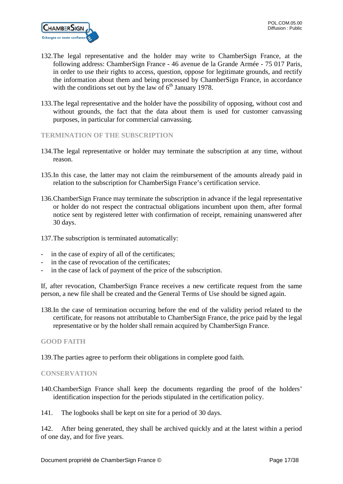- 132.The legal representative and the holder may write to ChamberSign France, at the following address: ChamberSign France - 46 avenue de la Grande Armée - 75 017 Paris, in order to use their rights to access, question, oppose for legitimate grounds, and rectify the information about them and being processed by ChamberSign France, in accordance with the conditions set out by the law of  $6<sup>th</sup>$  January 1978.
- 133.The legal representative and the holder have the possibility of opposing, without cost and without grounds, the fact that the data about them is used for customer canvassing purposes, in particular for commercial canvassing.

# <span id="page-16-0"></span>**TERMINATION OF THE SUBSCRIPTION**

- 134.The legal representative or holder may terminate the subscription at any time, without reason.
- 135.In this case, the latter may not claim the reimbursement of the amounts already paid in relation to the subscription for ChamberSign France's certification service.
- 136.ChamberSign France may terminate the subscription in advance if the legal representative or holder do not respect the contractual obligations incumbent upon them, after formal notice sent by registered letter with confirmation of receipt, remaining unanswered after 30 days.
- 137.The subscription is terminated automatically:
- in the case of expiry of all of the certificates;
- in the case of revocation of the certificates;
- in the case of lack of payment of the price of the subscription.

If, after revocation, ChamberSign France receives a new certificate request from the same person, a new file shall be created and the General Terms of Use should be signed again.

138.In the case of termination occurring before the end of the validity period related to the certificate, for reasons not attributable to ChamberSign France, the price paid by the legal representative or by the holder shall remain acquired by ChamberSign France.

# <span id="page-16-1"></span>**GOOD FAITH**

139.The parties agree to perform their obligations in complete good faith.

# <span id="page-16-2"></span>**CONSERVATION**

- 140.ChamberSign France shall keep the documents regarding the proof of the holders' identification inspection for the periods stipulated in the certification policy.
- 141. The logbooks shall be kept on site for a period of 30 days.

142. After being generated, they shall be archived quickly and at the latest within a period of one day, and for five years.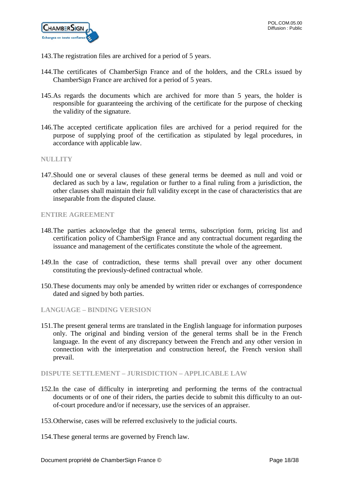

- 143.The registration files are archived for a period of 5 years.
- 144.The certificates of ChamberSign France and of the holders, and the CRLs issued by ChamberSign France are archived for a period of 5 years.
- 145.As regards the documents which are archived for more than 5 years, the holder is responsible for guaranteeing the archiving of the certificate for the purpose of checking the validity of the signature.
- 146.The accepted certificate application files are archived for a period required for the purpose of supplying proof of the certification as stipulated by legal procedures, in accordance with applicable law.

#### <span id="page-17-0"></span>**NULLITY**

147.Should one or several clauses of these general terms be deemed as null and void or declared as such by a law, regulation or further to a final ruling from a jurisdiction, the other clauses shall maintain their full validity except in the case of characteristics that are inseparable from the disputed clause.

<span id="page-17-1"></span>**ENTIRE AGREEMENT**

- 148.The parties acknowledge that the general terms, subscription form, pricing list and certification policy of ChamberSign France and any contractual document regarding the issuance and management of the certificates constitute the whole of the agreement.
- 149.In the case of contradiction, these terms shall prevail over any other document constituting the previously-defined contractual whole.
- 150.These documents may only be amended by written rider or exchanges of correspondence dated and signed by both parties.

# <span id="page-17-2"></span>**LANGUAGE – BINDING VERSION**

151.The present general terms are translated in the English language for information purposes only. The original and binding version of the general terms shall be in the French language. In the event of any discrepancy between the French and any other version in connection with the interpretation and construction hereof, the French version shall prevail.

#### <span id="page-17-3"></span>**DISPUTE SETTLEMENT – JURISDICTION – APPLICABLE LAW**

- 152.In the case of difficulty in interpreting and performing the terms of the contractual documents or of one of their riders, the parties decide to submit this difficulty to an outof-court procedure and/or if necessary, use the services of an appraiser.
- 153.Otherwise, cases will be referred exclusively to the judicial courts.
- 154.These general terms are governed by French law.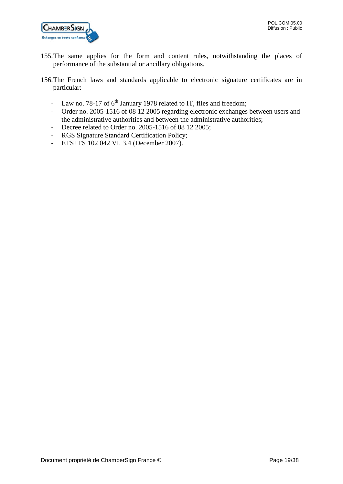

- 155.The same applies for the form and content rules, notwithstanding the places of performance of the substantial or ancillary obligations.
- 156.The French laws and standards applicable to electronic signature certificates are in particular:
	- Law no. 78-17 of  $6<sup>th</sup>$  January 1978 related to IT, files and freedom;
	- Order no. 2005-1516 of 08 12 2005 regarding electronic exchanges between users and the administrative authorities and between the administrative authorities;
	- Decree related to Order no. 2005-1516 of 08 12 2005;
	- RGS Signature Standard Certification Policy;
	- ETSI TS 102 042 VI. 3.4 (December 2007).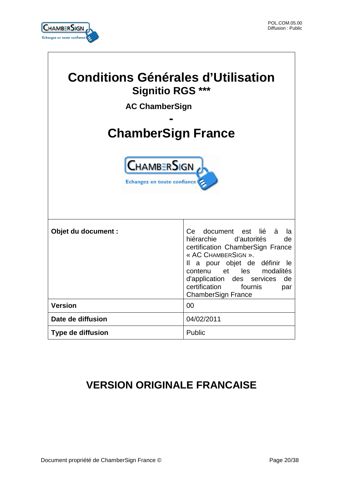

 $\overline{1}$ 

ī

| <b>Conditions Générales d'Utilisation</b><br><b>Signitio RGS ***</b><br><b>AC ChamberSign</b><br><b>ChamberSign France</b> |                                                                                                                                                                                                                                                                                                     |  |
|----------------------------------------------------------------------------------------------------------------------------|-----------------------------------------------------------------------------------------------------------------------------------------------------------------------------------------------------------------------------------------------------------------------------------------------------|--|
|                                                                                                                            | <b>CHAMBERSIGN</b><br>Echangez en toute confiance                                                                                                                                                                                                                                                   |  |
| Objet du document :                                                                                                        | document est<br>lié<br>à<br>Ce<br>la<br>hiérarchie d'autorités<br>de<br>certification ChamberSign France<br>« AC CHAMBERSIGN ».<br>Il a pour objet de définir le<br>et les modalités<br>contenu<br>d'application des services<br>de<br>certification<br>fournis<br>par<br><b>ChamberSign France</b> |  |
| <b>Version</b>                                                                                                             | 00                                                                                                                                                                                                                                                                                                  |  |
| Date de diffusion                                                                                                          | 04/02/2011                                                                                                                                                                                                                                                                                          |  |
| <b>Type de diffusion</b>                                                                                                   | Public                                                                                                                                                                                                                                                                                              |  |

# **VERSION ORIGINALE FRANCAISE**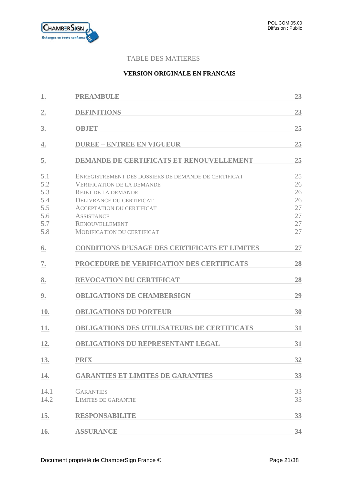

# TABLE DES MATIERES

# **VERSION ORIGINALE EN FRANCAIS**

| 1.                                                   | <b>PREAMBULE</b>                                                                                                                                                                                                                                                           | 23                                           |
|------------------------------------------------------|----------------------------------------------------------------------------------------------------------------------------------------------------------------------------------------------------------------------------------------------------------------------------|----------------------------------------------|
| $\mathbf{2}$ .                                       | <b>DEFINITIONS</b>                                                                                                                                                                                                                                                         | 23                                           |
| 3.                                                   | <b>OBJET</b>                                                                                                                                                                                                                                                               | 25                                           |
| 4.                                                   | <b>DUREE - ENTREE EN VIGUEUR</b>                                                                                                                                                                                                                                           | 25                                           |
| 5.                                                   | <b>DEMANDE DE CERTIFICATS ET RENOUVELLEMENT</b>                                                                                                                                                                                                                            | 25                                           |
| 5.1<br>5.2<br>5.3<br>5.4<br>5.5<br>5.6<br>5.7<br>5.8 | ENREGISTREMENT DES DOSSIERS DE DEMANDE DE CERTIFICAT<br><b>VERIFICATION DE LA DEMANDE</b><br><b>REJET DE LA DEMANDE</b><br>DELIVRANCE DU CERTIFICAT<br><b>ACCEPTATION DU CERTIFICAT</b><br><b>ASSISTANCE</b><br><b>RENOUVELLEMENT</b><br><b>MODIFICATION DU CERTIFICAT</b> | 25<br>26<br>26<br>26<br>27<br>27<br>27<br>27 |
| 6.                                                   | <b>CONDITIONS D'USAGE DES CERTIFICATS ET LIMITES</b>                                                                                                                                                                                                                       | 27                                           |
| 7.                                                   | PROCEDURE DE VERIFICATION DES CERTIFICATS                                                                                                                                                                                                                                  | 28                                           |
| 8.                                                   | <b>REVOCATION DU CERTIFICAT</b>                                                                                                                                                                                                                                            | 28                                           |
| 9.                                                   | <b>OBLIGATIONS DE CHAMBERSIGN</b>                                                                                                                                                                                                                                          | 29                                           |
| 10.                                                  | <b>OBLIGATIONS DU PORTEUR</b>                                                                                                                                                                                                                                              | 30                                           |
| 11.                                                  | <b>OBLIGATIONS DES UTILISATEURS DE CERTIFICATS</b>                                                                                                                                                                                                                         | 31                                           |
| 12.                                                  | <b>OBLIGATIONS DU REPRESENTANT LEGAL</b>                                                                                                                                                                                                                                   | 31                                           |
| 13.                                                  | <b>PRIX</b>                                                                                                                                                                                                                                                                | 32                                           |
| 14.                                                  | <b>GARANTIES ET LIMITES DE GARANTIES</b>                                                                                                                                                                                                                                   | 33                                           |
| 14.1<br>14.2                                         | <b>GARANTIES</b><br><b>LIMITES DE GARANTIE</b>                                                                                                                                                                                                                             | 33<br>33                                     |
| 15.                                                  | <b>RESPONSABILITE</b>                                                                                                                                                                                                                                                      | 33                                           |
| 16.                                                  | <b>ASSURANCE</b>                                                                                                                                                                                                                                                           | 34                                           |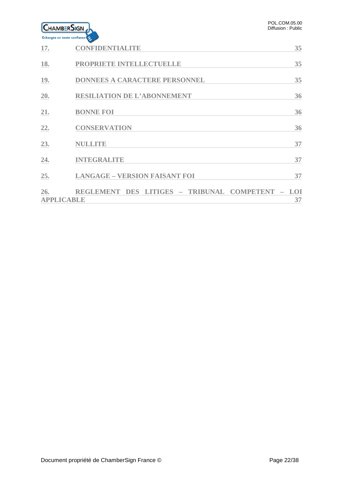|     | <b>HAMBERSIGN</b>                  | POL.COM.05.00<br>Diffusion: Public |
|-----|------------------------------------|------------------------------------|
|     | Echangez en toute confiance        |                                    |
| 17. | <b>CONFIDENTIALITE</b>             | 35                                 |
| 18. | PROPRIETE INTELLECTUELLE           | 35                                 |
| 19. | DONNEES A CARACTERE PERSONNEL      | 35                                 |
| 20. | <b>RESILIATION DE L'ABONNEMENT</b> | 36                                 |
| 21. | <b>BONNE FOI</b>                   | 36                                 |
| つつ  | CONSERVATION                       | 36                                 |

| 22.                             | <b>CONSERVATION</b>                              | 36 |
|---------------------------------|--------------------------------------------------|----|
| 23.                             | <b>NULLITE</b>                                   | 37 |
| 24.                             | <b>INTEGRALITE</b>                               | 37 |
| 25.                             | <b>LANGAGE - VERSION FAISANT FOI</b>             | 37 |
| <u>26.</u><br><b>APPLICABLE</b> | REGLEMENT DES LITIGES - TRIBUNAL COMPETENT - LOI |    |
|                                 |                                                  |    |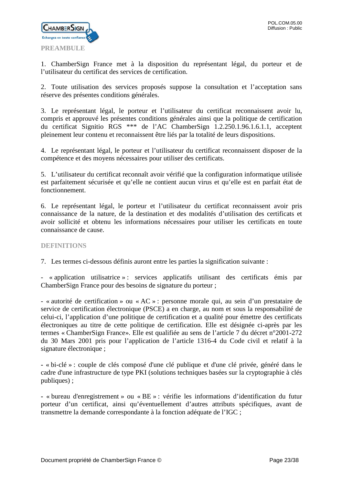

<span id="page-22-0"></span>1. ChamberSign France met à la disposition du représentant légal, du porteur et de l'utilisateur du certificat des services de certification.

2. Toute utilisation des services proposés suppose la consultation et l'acceptation sans réserve des présentes conditions générales.

3. Le représentant légal, le porteur et l'utilisateur du certificat reconnaissent avoir lu, compris et approuvé les présentes conditions générales ainsi que la politique de certification du certificat Signitio RGS \*\*\* de l'AC ChamberSign 1.2.250.1.96.1.6.1.1, acceptent pleinement leur contenu et reconnaissent être liés par la totalité de leurs dispositions.

4. Le représentant légal, le porteur et l'utilisateur du certificat reconnaissent disposer de la compétence et des moyens nécessaires pour utiliser des certificats.

5. L'utilisateur du certificat reconnaît avoir vérifié que la configuration informatique utilisée est parfaitement sécurisée et qu'elle ne contient aucun virus et qu'elle est en parfait état de fonctionnement.

6. Le représentant légal, le porteur et l'utilisateur du certificat reconnaissent avoir pris connaissance de la nature, de la destination et des modalités d'utilisation des certificats et avoir sollicité et obtenu les informations nécessaires pour utiliser les certificats en toute connaissance de cause.

# <span id="page-22-1"></span>**DEFINITIONS**

7. Les termes ci-dessous définis auront entre les parties la signification suivante :

- « application utilisatrice » : services applicatifs utilisant des certificats émis par ChamberSign France pour des besoins de signature du porteur ;

- « autorité de certification » ou « AC » : personne morale qui, au sein d'un prestataire de service de certification électronique (PSCE) a en charge, au nom et sous la responsabilité de celui-ci, l'application d'une politique de certification et a qualité pour émettre des certificats électroniques au titre de cette politique de certification. Elle est désignée ci-après par les termes « ChamberSign France». Elle est qualifiée au sens de l'article 7 du décret n°2001-272 du 30 Mars 2001 pris pour l'application de l'article 1316-4 du Code civil et relatif à la signature électronique ;

**-** « bi-clé » : couple de clés composé d'une clé publique et d'une clé privée, généré dans le cadre d'une infrastructure de type PKI (solutions techniques basées sur la cryptographie à clés publiques) ;

**-** « bureau d'enregistrement » ou « BE » : vérifie les informations d'identification du futur porteur d'un certificat, ainsi qu'éventuellement d'autres attributs spécifiques, avant de transmettre la demande correspondante à la fonction adéquate de l'IGC ;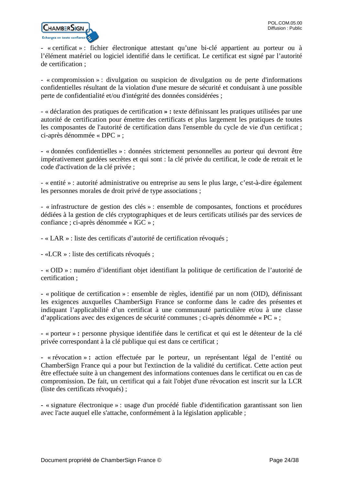

- « certificat » : fichier électronique attestant qu'une bi-clé appartient au porteur ou à l'élément matériel ou logiciel identifié dans le certificat. Le certificat est signé par l'autorité de certification ;

- « compromission » : divulgation ou suspicion de divulgation ou de perte d'informations confidentielles résultant de la violation d'une mesure de sécurité et conduisant à une possible perte de confidentialité et/ou d'intégrité des données considérées ;

- « déclaration des pratiques de certification **» :** texte définissant les pratiques utilisées par une autorité de certification pour émettre des certificats et plus largement les pratiques de toutes les composantes de l'autorité de certification dans l'ensemble du cycle de vie d'un certificat ; ci-après dénommée « DPC » ;

**-** « données confidentielles » : données strictement personnelles au porteur qui devront être impérativement gardées secrètes et qui sont : la clé privée du certificat, le code de retrait et le code d'activation de la clé privée ;

- « entité » : autorité administrative ou entreprise au sens le plus large, c'est-à-dire également les personnes morales de droit privé de type associations ;

- « infrastructure de gestion des clés » : ensemble de composantes, fonctions et procédures dédiées à la gestion de clés cryptographiques et de leurs certificats utilisés par des services de confiance ; ci-après dénommée « IGC » ;

- « LAR » : liste des certificats d'autorité de certification révoqués ;

- «LCR » : liste des certificats révoqués ;

- « OID » : numéro d'identifiant objet identifiant la politique de certification de l'autorité de certification ;

**-** « politique de certification » : ensemble de règles, identifié par un nom (OID), définissant les exigences auxquelles ChamberSign France se conforme dans le cadre des présentes et indiquant l'applicabilité d'un certificat à une communauté particulière et/ou à une classe d'applications avec des exigences de sécurité communes ; ci-après dénommée « PC » ;

**-** « porteur » **:** personne physique identifiée dans le certificat et qui est le détenteur de la clé privée correspondant à la clé publique qui est dans ce certificat ;

**-** « révocation » **:** action effectuée par le porteur, un représentant légal de l'entité ou ChamberSign France qui a pour but l'extinction de la validité du certificat. Cette action peut être effectuée suite à un changement des informations contenues dans le certificat ou en cas de compromission. De fait, un certificat qui a fait l'objet d'une révocation est inscrit sur la LCR (liste des certificats révoqués) ;

**-** « signature électronique » : usage d'un procédé fiable d'identification garantissant son lien avec l'acte auquel elle s'attache, conformément à la législation applicable ;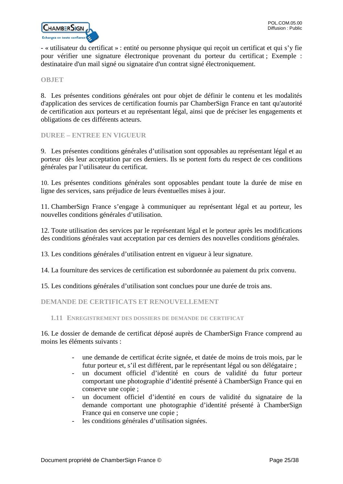

- « utilisateur du certificat » : entité ou personne physique qui reçoit un certificat et qui s'y fie pour vérifier une signature électronique provenant du porteur du certificat ; Exemple : destinataire d'un mail signé ou signataire d'un contrat signé électroniquement.

#### <span id="page-24-0"></span>**OBJET**

8. Les présentes conditions générales ont pour objet de définir le contenu et les modalités d'application des services de certification fournis par ChamberSign France en tant qu'autorité de certification aux porteurs et au représentant légal, ainsi que de préciser les engagements et obligations de ces différents acteurs.

<span id="page-24-1"></span>**DUREE – ENTREE EN VIGUEUR**

9. Les présentes conditions générales d'utilisation sont opposables au représentant légal et au porteur dès leur acceptation par ces derniers. Ils se portent forts du respect de ces conditions générales par l'utilisateur du certificat.

10. Les présentes conditions générales sont opposables pendant toute la durée de mise en ligne des services, sans préjudice de leurs éventuelles mises à jour.

11. ChamberSign France s'engage à communiquer au représentant légal et au porteur, les nouvelles conditions générales d'utilisation.

12. Toute utilisation des services par le représentant légal et le porteur après les modifications des conditions générales vaut acceptation par ces derniers des nouvelles conditions générales.

13. Les conditions générales d'utilisation entrent en vigueur à leur signature.

14. La fourniture des services de certification est subordonnée au paiement du prix convenu.

15. Les conditions générales d'utilisation sont conclues pour une durée de trois ans.

<span id="page-24-2"></span>**DEMANDE DE CERTIFICATS ET RENOUVELLEMENT**

<span id="page-24-3"></span>**1.11 ENREGISTREMENT DES DOSSIERS DE DEMANDE DE CERTIFICAT**

16. Le dossier de demande de certificat déposé auprès de ChamberSign France comprend au moins les éléments suivants :

- une demande de certificat écrite signée, et datée de moins de trois mois, par le futur porteur et, s'il est différent, par le représentant légal ou son délégataire ;
- un document officiel d'identité en cours de validité du futur porteur comportant une photographie d'identité présenté à ChamberSign France qui en conserve une copie ;
- un document officiel d'identité en cours de validité du signataire de la demande comportant une photographie d'identité présenté à ChamberSign France qui en conserve une copie ;
- les conditions générales d'utilisation signées.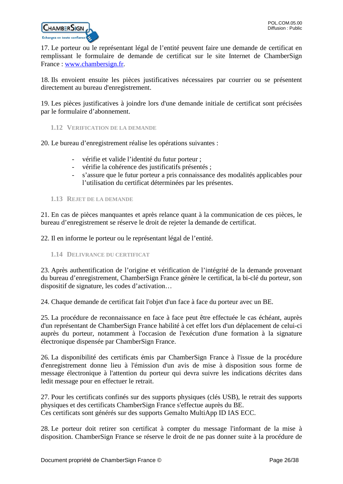

17. Le porteur ou le représentant légal de l'entité peuvent faire une demande de certificat en remplissant le formulaire de demande de certificat sur le site Internet de ChamberSign France : [www.chambersign.fr.](http://www.chambersign.fr/)

18. Ils envoient ensuite les pièces justificatives nécessaires par courrier ou se présentent directement au bureau d'enregistrement.

19. Les pièces justificatives à joindre lors d'une demande initiale de certificat sont précisées par le formulaire d'abonnement.

<span id="page-25-0"></span>**1.12 VERIFICATION DE LA DEMANDE**

20. Le bureau d'enregistrement réalise les opérations suivantes :

- vérifie et valide l'identité du futur porteur ;
- vérifie la cohérence des justificatifs présentés ;
- s'assure que le futur porteur a pris connaissance des modalités applicables pour l'utilisation du certificat déterminées par les présentes.

# <span id="page-25-1"></span>**1.13 REJET DE LA DEMANDE**

21. En cas de pièces manquantes et après relance quant à la communication de ces pièces, le bureau d'enregistrement se réserve le droit de rejeter la demande de certificat.

22. Il en informe le porteur ou le représentant légal de l'entité.

<span id="page-25-2"></span>**1.14 DELIVRANCE DU CERTIFICAT**

23. Après authentification de l'origine et vérification de l'intégrité de la demande provenant du bureau d'enregistrement, ChamberSign France génère le certificat, la bi-clé du porteur, son dispositif de signature, les codes d'activation…

24. Chaque demande de certificat fait l'objet d'un face à face du porteur avec un BE.

25. La procédure de reconnaissance en face à face peut être effectuée le cas échéant, auprès d'un représentant de ChamberSign France habilité à cet effet lors d'un déplacement de celui-ci auprès du porteur, notamment à l'occasion de l'exécution d'une formation à la signature électronique dispensée par ChamberSign France.

26. La disponibilité des certificats émis par ChamberSign France à l'issue de la procédure d'enregistrement donne lieu à l'émission d'un avis de mise à disposition sous forme de message électronique à l'attention du porteur qui devra suivre les indications décrites dans ledit message pour en effectuer le retrait.

27. Pour les certificats confinés sur des supports physiques (clés USB), le retrait des supports physiques et des certificats ChamberSign France s'effectue auprès du BE. Ces certificats sont générés sur des supports Gemalto MultiApp ID IAS ECC.

28. Le porteur doit retirer son certificat à compter du message l'informant de la mise à disposition. ChamberSign France se réserve le droit de ne pas donner suite à la procédure de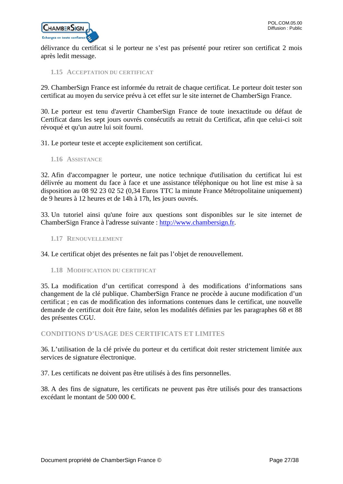

délivrance du certificat si le porteur ne s'est pas présenté pour retirer son certificat 2 mois après ledit message.

<span id="page-26-0"></span>**1.15 ACCEPTATION DU CERTIFICAT**

29. ChamberSign France est informée du retrait de chaque certificat. Le porteur doit tester son certificat au moyen du service prévu à cet effet sur le site internet de ChamberSign France.

30. Le porteur est tenu d'avertir ChamberSign France de toute inexactitude ou défaut de Certificat dans les sept jours ouvrés consécutifs au retrait du Certificat, afin que celui-ci soit révoqué et qu'un autre lui soit fourni.

31. Le porteur teste et accepte explicitement son certificat.

<span id="page-26-1"></span>**1.16 ASSISTANCE**

32. Afin d'accompagner le porteur, une notice technique d'utilisation du certificat lui est délivrée au moment du face à face et une assistance téléphonique ou hot line est mise à sa disposition au 08 92 23 02 52 (0,34 Euros TTC la minute France Métropolitaine uniquement) de 9 heures à 12 heures et de 14h à 17h, les jours ouvrés.

33. Un tutoriel ainsi qu'une foire aux questions sont disponibles sur le site internet de ChamberSign France à l'adresse suivante : [http://www.chambersign.fr.](http://www.chambersign.fr/)

<span id="page-26-2"></span>**1.17 RENOUVELLEMENT**

34. Le certificat objet des présentes ne fait pas l'objet de renouvellement.

<span id="page-26-3"></span>**1.18 MODIFICATION DU CERTIFICAT**

35. La modification d'un certificat correspond à des modifications d'informations sans changement de la clé publique. ChamberSign France ne procède à aucune modification d'un certificat ; en cas de modification des informations contenues dans le certificat, une nouvelle demande de certificat doit être faite, selon les modalités définies par les paragraphes 68 et 88 des présentes CGU.

<span id="page-26-4"></span>**CONDITIONS D'USAGE DES CERTIFICATS ET LIMITES**

36. L'utilisation de la clé privée du porteur et du certificat doit rester strictement limitée aux services de signature électronique.

37. Les certificats ne doivent pas être utilisés à des fins personnelles.

38. A des fins de signature, les certificats ne peuvent pas être utilisés pour des transactions excédant le montant de 500 000 €.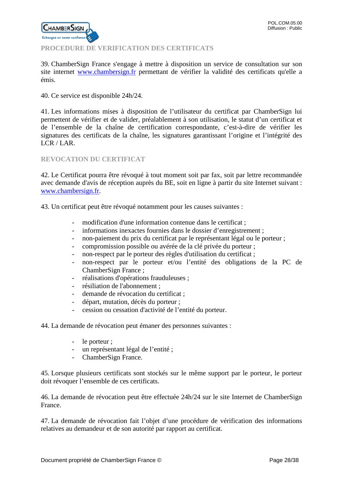

# <span id="page-27-0"></span>**PROCEDURE DE VERIFICATION DES CERTIFICATS**

39. ChamberSign France s'engage à mettre à disposition un service de consultation sur son site internet [www.chambersign.fr](http://www.chambersign.fr/) permettant de vérifier la validité des certificats qu'elle a émis.

40. Ce service est disponible 24h/24.

41. Les informations mises à disposition de l'utilisateur du certificat par ChamberSign lui permettent de vérifier et de valider, préalablement à son utilisation, le statut d'un certificat et de l'ensemble de la chaîne de certification correspondante, c'est-à-dire de vérifier les signatures des certificats de la chaîne, les signatures garantissant l'origine et l'intégrité des LCR / LAR.

# <span id="page-27-1"></span>**REVOCATION DU CERTIFICAT**

42. Le Certificat pourra être révoqué à tout moment soit par fax, soit par lettre recommandée avec demande d'avis de réception auprès du BE, soit en ligne à partir du site Internet suivant : [www.chambersign.fr.](http://www.chambersign.fr/)

43. Un certificat peut être révoqué notamment pour les causes suivantes :

- modification d'une information contenue dans le certificat ;
- informations inexactes fournies dans le dossier d'enregistrement ;
- non-paiement du prix du certificat par le représentant légal ou le porteur ;
- compromission possible ou avérée de la clé privée du porteur ;
- non-respect par le porteur des règles d'utilisation du certificat ;
- non-respect par le porteur et/ou l'entité des obligations de la PC de ChamberSign France ;
- réalisations d'opérations frauduleuses ;
- résiliation de l'abonnement ;
- demande de révocation du certificat ;
- départ, mutation, décès du porteur ;
- cession ou cessation d'activité de l'entité du porteur.

44. La demande de révocation peut émaner des personnes suivantes :

- le porteur ;
- un représentant légal de l'entité ;
- ChamberSign France.

45. Lorsque plusieurs certificats sont stockés sur le même support par le porteur, le porteur doit révoquer l'ensemble de ces certificats.

46. La demande de révocation peut être effectuée 24h/24 sur le site Internet de ChamberSign France.

47. La demande de révocation fait l'objet d'une procédure de vérification des informations relatives au demandeur et de son autorité par rapport au certificat.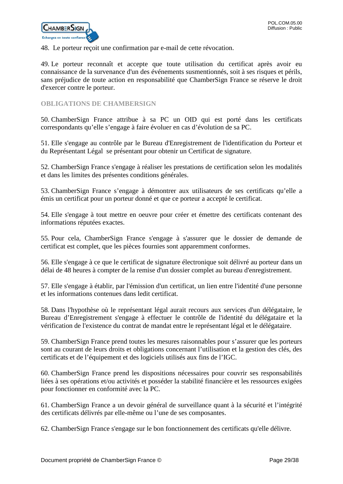

48. Le porteur reçoit une confirmation par e-mail de cette révocation.

49. Le porteur reconnaît et accepte que toute utilisation du certificat après avoir eu connaissance de la survenance d'un des événements susmentionnés, soit à ses risques et périls, sans préjudice de toute action en responsabilité que ChamberSign France se réserve le droit d'exercer contre le porteur.

# <span id="page-28-0"></span>**OBLIGATIONS DE CHAMBERSIGN**

50. ChamberSign France attribue à sa PC un OID qui est porté dans les certificats correspondants qu'elle s'engage à faire évoluer en cas d'évolution de sa PC.

51. Elle s'engage au contrôle par le Bureau d'Enregistrement de l'identification du Porteur et du Représentant Légal se présentant pour obtenir un Certificat de signature.

52. ChamberSign France s'engage à réaliser les prestations de certification selon les modalités et dans les limites des présentes conditions générales.

53. ChamberSign France s'engage à démontrer aux utilisateurs de ses certificats qu'elle a émis un certificat pour un porteur donné et que ce porteur a accepté le certificat.

54. Elle s'engage à tout mettre en oeuvre pour créer et émettre des certificats contenant des informations réputées exactes.

55. Pour cela, ChamberSign France s'engage à s'assurer que le dossier de demande de certificat est complet, que les pièces fournies sont apparemment conformes.

56. Elle s'engage à ce que le certificat de signature électronique soit délivré au porteur dans un délai de 48 heures à compter de la remise d'un dossier complet au bureau d'enregistrement.

57. Elle s'engage à établir, par l'émission d'un certificat, un lien entre l'identité d'une personne et les informations contenues dans ledit certificat.

58. Dans l'hypothèse où le représentant légal aurait recours aux services d'un délégataire, le Bureau d'Enregistrement s'engage à effectuer le contrôle de l'identité du délégataire et la vérification de l'existence du contrat de mandat entre le représentant légal et le délégataire.

59. ChamberSign France prend toutes les mesures raisonnables pour s'assurer que les porteurs sont au courant de leurs droits et obligations concernant l'utilisation et la gestion des clés, des certificats et de l'équipement et des logiciels utilisés aux fins de l'IGC.

60. ChamberSign France prend les dispositions nécessaires pour couvrir ses responsabilités liées à ses opérations et/ou activités et posséder la stabilité financière et les ressources exigées pour fonctionner en conformité avec la PC.

61. ChamberSign France a un devoir général de surveillance quant à la sécurité et l'intégrité des certificats délivrés par elle-même ou l'une de ses composantes.

62. ChamberSign France s'engage sur le bon fonctionnement des certificats qu'elle délivre.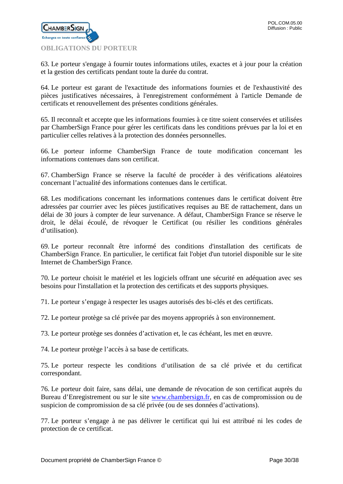

<span id="page-29-0"></span>63. Le porteur s'engage à fournir toutes informations utiles, exactes et à jour pour la création et la gestion des certificats pendant toute la durée du contrat.

64. Le porteur est garant de l'exactitude des informations fournies et de l'exhaustivité des pièces justificatives nécessaires, à l'enregistrement conformément à l'article Demande de certificats et renouvellement des présentes conditions générales.

65. Il reconnaît et accepte que les informations fournies à ce titre soient conservées et utilisées par ChamberSign France pour gérer les certificats dans les conditions prévues par la loi et en particulier celles relatives à la protection des données personnelles.

66. Le porteur informe ChamberSign France de toute modification concernant les informations contenues dans son certificat.

67. ChamberSign France se réserve la faculté de procéder à des vérifications aléatoires concernant l'actualité des informations contenues dans le certificat.

68. Les modifications concernant les informations contenues dans le certificat doivent être adressées par courrier avec les pièces justificatives requises au BE de rattachement, dans un délai de 30 jours à compter de leur survenance. A défaut, ChamberSign France se réserve le droit, le délai écoulé, de révoquer le Certificat (ou résilier les conditions générales d'utilisation).

69. Le porteur reconnaît être informé des conditions d'installation des certificats de ChamberSign France. En particulier, le certificat fait l'objet d'un tutoriel disponible sur le site Internet de ChamberSign France.

70. Le porteur choisit le matériel et les logiciels offrant une sécurité en adéquation avec ses besoins pour l'installation et la protection des certificats et des supports physiques.

71. Le porteur s'engage à respecter les usages autorisés des bi-clés et des certificats.

72. Le porteur protège sa clé privée par des moyens appropriés à son environnement.

73. Le porteur protège ses données d'activation et, le cas échéant, les met en œuvre.

74. Le porteur protège l'accès à sa base de certificats.

75. Le porteur respecte les conditions d'utilisation de sa clé privée et du certificat correspondant.

76. Le porteur doit faire, sans délai, une demande de révocation de son certificat auprès du Bureau d'Enregistrement ou sur le site [www.chambersign.fr,](http://www.chambersign.fr/) en cas de compromission ou de suspicion de compromission de sa clé privée (ou de ses données d'activations).

77. Le porteur s'engage à ne pas délivrer le certificat qui lui est attribué ni les codes de protection de ce certificat.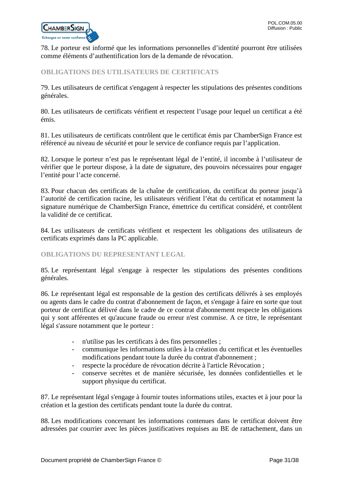

78. Le porteur est informé que les informations personnelles d'identité pourront être utilisées comme éléments d'authentification lors de la demande de révocation.

# <span id="page-30-0"></span>**OBLIGATIONS DES UTILISATEURS DE CERTIFICATS**

79. Les utilisateurs de certificat s'engagent à respecter les stipulations des présentes conditions générales.

80. Les utilisateurs de certificats vérifient et respectent l'usage pour lequel un certificat a été émis.

81. Les utilisateurs de certificats contrôlent que le certificat émis par ChamberSign France est référencé au niveau de sécurité et pour le service de confiance requis par l'application.

82. Lorsque le porteur n'est pas le représentant légal de l'entité, il incombe à l'utilisateur de vérifier que le porteur dispose, à la date de signature, des pouvoirs nécessaires pour engager l'entité pour l'acte concerné.

83. Pour chacun des certificats de la chaîne de certification, du certificat du porteur jusqu'à l'autorité de certification racine, les utilisateurs vérifient l'état du certificat et notamment la signature numérique de ChamberSign France, émettrice du certificat considéré, et contrôlent la validité de ce certificat.

84. Les utilisateurs de certificats vérifient et respectent les obligations des utilisateurs de certificats exprimés dans la PC applicable.

# <span id="page-30-1"></span>**OBLIGATIONS DU REPRESENTANT LEGAL**

85. Le représentant légal s'engage à respecter les stipulations des présentes conditions générales.

86. Le représentant légal est responsable de la gestion des certificats délivrés à ses employés ou agents dans le cadre du contrat d'abonnement de façon, et s'engage à faire en sorte que tout porteur de certificat délivré dans le cadre de ce contrat d'abonnement respecte les obligations qui y sont afférentes et qu'aucune fraude ou erreur n'est commise. A ce titre, le représentant légal s'assure notamment que le porteur :

- n'utilise pas les certificats à des fins personnelles ;
- communique les informations utiles à la création du certificat et les éventuelles modifications pendant toute la durée du contrat d'abonnement ;
- respecte la procédure de révocation décrite à l'article Révocation ;
- conserve secrètes et de manière sécurisée, les données confidentielles et le support physique du certificat.

87. Le représentant légal s'engage à fournir toutes informations utiles, exactes et à jour pour la création et la gestion des certificats pendant toute la durée du contrat.

88. Les modifications concernant les informations contenues dans le certificat doivent être adressées par courrier avec les pièces justificatives requises au BE de rattachement, dans un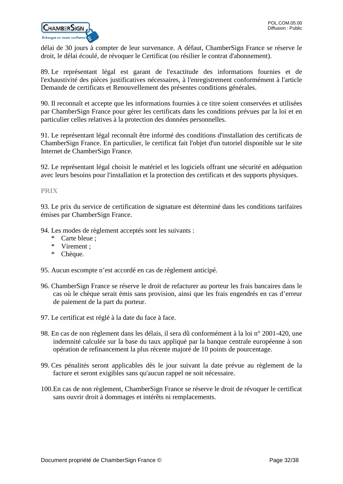

délai de 30 jours à compter de leur survenance. A défaut, ChamberSign France se réserve le droit, le délai écoulé, de révoquer le Certificat (ou résilier le contrat d'abonnement).

89. Le représentant légal est garant de l'exactitude des informations fournies et de l'exhaustivité des pièces justificatives nécessaires, à l'enregistrement conformément à l'article Demande de certificats et Renouvellement des présentes conditions générales.

90. Il reconnaît et accepte que les informations fournies à ce titre soient conservées et utilisées par ChamberSign France pour gérer les certificats dans les conditions prévues par la loi et en particulier celles relatives à la protection des données personnelles.

91. Le représentant légal reconnaît être informé des conditions d'installation des certificats de ChamberSign France. En particulier, le certificat fait l'objet d'un tutoriel disponible sur le site Internet de ChamberSign France.

92. Le représentant légal choisit le matériel et les logiciels offrant une sécurité en adéquation avec leurs besoins pour l'installation et la protection des certificats et des supports physiques.

# <span id="page-31-0"></span>**PRIX**

93. Le prix du service de certification de signature est déterminé dans les conditions tarifaires émises par ChamberSign France.

94. Les modes de règlement acceptés sont les suivants :

- \* Carte bleue ;
- \* Virement ;
- \* Chèque.

95. Aucun escompte n'est accordé en cas de règlement anticipé.

- 96. ChamberSign France se réserve le droit de refacturer au porteur les frais bancaires dans le cas où le chèque serait émis sans provision, ainsi que les frais engendrés en cas d'erreur de paiement de la part du porteur.
- 97. Le certificat est réglé à la date du face à face.
- 98. En cas de non règlement dans les délais, il sera dû conformément à la loi n° 2001-420, une indemnité calculée sur la base du taux appliqué par la banque centrale européenne à son opération de refinancement la plus récente majoré de 10 points de pourcentage.
- 99. Ces pénalités seront applicables dès le jour suivant la date prévue au règlement de la facture et seront exigibles sans qu'aucun rappel ne soit nécessaire.
- 100.En cas de non règlement, ChamberSign France se réserve le droit de révoquer le certificat sans ouvrir droit à dommages et intérêts ni remplacements.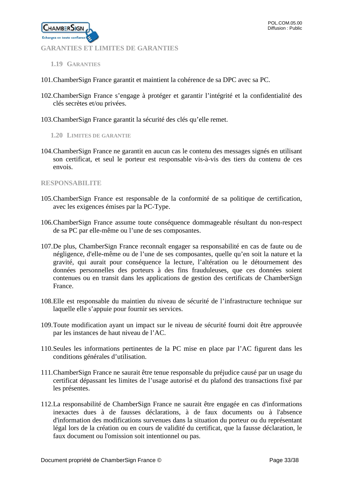<span id="page-32-0"></span>**GARANTIES ET LIMITES DE GARANTIES**

<span id="page-32-1"></span>**1.19 GARANTIES**

**CHAMBERSIGN** ez en toute confia

- 101.ChamberSign France garantit et maintient la cohérence de sa DPC avec sa PC.
- 102.ChamberSign France s'engage à protéger et garantir l'intégrité et la confidentialité des clés secrètes et/ou privées.
- <span id="page-32-2"></span>103.ChamberSign France garantit la sécurité des clés qu'elle remet.
	- **1.20 LIMITES DE GARANTIE**
- 104.ChamberSign France ne garantit en aucun cas le contenu des messages signés en utilisant son certificat, et seul le porteur est responsable vis-à-vis des tiers du contenu de ces envois.

#### <span id="page-32-3"></span>**RESPONSABILITE**

- 105.ChamberSign France est responsable de la conformité de sa politique de certification, avec les exigences émises par la PC-Type.
- 106.ChamberSign France assume toute conséquence dommageable résultant du non-respect de sa PC par elle-même ou l'une de ses composantes.
- 107.De plus, ChamberSign France reconnaît engager sa responsabilité en cas de faute ou de négligence, d'elle-même ou de l'une de ses composantes, quelle qu'en soit la nature et la gravité, qui aurait pour conséquence la lecture, l'altération ou le détournement des données personnelles des porteurs à des fins frauduleuses, que ces données soient contenues ou en transit dans les applications de gestion des certificats de ChamberSign France.
- 108.Elle est responsable du maintien du niveau de sécurité de l'infrastructure technique sur laquelle elle s'appuie pour fournir ses services.
- 109.Toute modification ayant un impact sur le niveau de sécurité fourni doit être approuvée par les instances de haut niveau de l'AC.
- 110.Seules les informations pertinentes de la PC mise en place par l'AC figurent dans les conditions générales d'utilisation.
- 111.ChamberSign France ne saurait être tenue responsable du préjudice causé par un usage du certificat dépassant les limites de l'usage autorisé et du plafond des transactions fixé par les présentes.
- 112.La responsabilité de ChamberSign France ne saurait être engagée en cas d'informations inexactes dues à de fausses déclarations, à de faux documents ou à l'absence d'information des modifications survenues dans la situation du porteur ou du représentant légal lors de la création ou en cours de validité du certificat, que la fausse déclaration, le faux document ou l'omission soit intentionnel ou pas.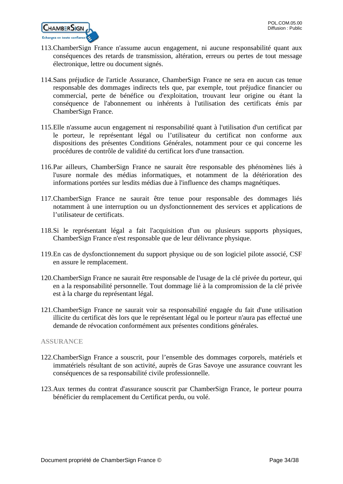

- 113.ChamberSign France n'assume aucun engagement, ni aucune responsabilité quant aux conséquences des retards de transmission, altération, erreurs ou pertes de tout message électronique, lettre ou document signés.
- 114.Sans préjudice de l'article Assurance, ChamberSign France ne sera en aucun cas tenue responsable des dommages indirects tels que, par exemple, tout préjudice financier ou commercial, perte de bénéfice ou d'exploitation, trouvant leur origine ou étant la conséquence de l'abonnement ou inhérents à l'utilisation des certificats émis par ChamberSign France.
- 115.Elle n'assume aucun engagement ni responsabilité quant à l'utilisation d'un certificat par le porteur, le représentant légal ou l'utilisateur du certificat non conforme aux dispositions des présentes Conditions Générales, notamment pour ce qui concerne les procédures de contrôle de validité du certificat lors d'une transaction.
- 116.Par ailleurs, ChamberSign France ne saurait être responsable des phénomènes liés à l'usure normale des médias informatiques, et notamment de la détérioration des informations portées sur lesdits médias due à l'influence des champs magnétiques.
- 117.ChamberSign France ne saurait être tenue pour responsable des dommages liés notamment à une interruption ou un dysfonctionnement des services et applications de l'utilisateur de certificats.
- 118.Si le représentant légal a fait l'acquisition d'un ou plusieurs supports physiques, ChamberSign France n'est responsable que de leur délivrance physique.
- 119.En cas de dysfonctionnement du support physique ou de son logiciel pilote associé, CSF en assure le remplacement.
- 120.ChamberSign France ne saurait être responsable de l'usage de la clé privée du porteur, qui en a la responsabilité personnelle. Tout dommage lié à la compromission de la clé privée est à la charge du représentant légal.
- 121.ChamberSign France ne saurait voir sa responsabilité engagée du fait d'une utilisation illicite du certificat dès lors que le représentant légal ou le porteur n'aura pas effectué une demande de révocation conformément aux présentes conditions générales.

# <span id="page-33-0"></span>**ASSURANCE**

- 122.ChamberSign France a souscrit, pour l'ensemble des dommages corporels, matériels et immatériels résultant de son activité, auprès de Gras Savoye une assurance couvrant les conséquences de sa responsabilité civile professionnelle.
- 123.Aux termes du contrat d'assurance souscrit par ChamberSign France, le porteur pourra bénéficier du remplacement du Certificat perdu, ou volé.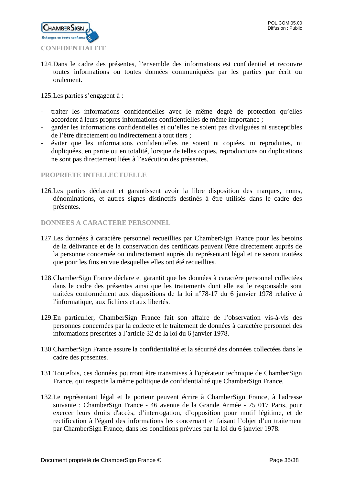

<span id="page-34-0"></span>124.Dans le cadre des présentes, l'ensemble des informations est confidentiel et recouvre toutes informations ou toutes données communiquées par les parties par écrit ou oralement.

125.Les parties s'engagent à :

- traiter les informations confidentielles avec le même degré de protection qu'elles accordent à leurs propres informations confidentielles de même importance ;
- garder les informations confidentielles et qu'elles ne soient pas divulguées ni susceptibles de l'être directement ou indirectement à tout tiers ;
- éviter que les informations confidentielles ne soient ni copiées, ni reproduites, ni dupliquées, en partie ou en totalité, lorsque de telles copies, reproductions ou duplications ne sont pas directement liées à l'exécution des présentes.

# <span id="page-34-1"></span>**PROPRIETE INTELLECTUELLE**

126.Les parties déclarent et garantissent avoir la libre disposition des marques, noms, dénominations, et autres signes distinctifs destinés à être utilisés dans le cadre des présentes.

#### <span id="page-34-2"></span>**DONNEES A CARACTERE PERSONNEL**

- 127.Les données à caractère personnel recueillies par ChamberSign France pour les besoins de la délivrance et de la conservation des certificats peuvent l'être directement auprès de la personne concernée ou indirectement auprès du représentant légal et ne seront traitées que pour les fins en vue desquelles elles ont été recueillies.
- 128.ChamberSign France déclare et garantit que les données à caractère personnel collectées dans le cadre des présentes ainsi que les traitements dont elle est le responsable sont traitées conformément aux dispositions de la loi n°78-17 du 6 janvier 1978 relative à l'informatique, aux fichiers et aux libertés.
- 129.En particulier, ChamberSign France fait son affaire de l'observation vis-à-vis des personnes concernées par la collecte et le traitement de données à caractère personnel des informations prescrites à l'article 32 de la loi du 6 janvier 1978.
- 130.ChamberSign France assure la confidentialité et la sécurité des données collectées dans le cadre des présentes.
- 131.Toutefois, ces données pourront être transmises à l'opérateur technique de ChamberSign France, qui respecte la même politique de confidentialité que ChamberSign France.
- 132.Le représentant légal et le porteur peuvent écrire à ChamberSign France, à l'adresse suivante : ChamberSign France - 46 avenue de la Grande Armée - 75 017 Paris, pour exercer leurs droits d'accès, d'interrogation, d'opposition pour motif légitime, et de rectification à l'égard des informations les concernant et faisant l'objet d'un traitement par ChamberSign France, dans les conditions prévues par la loi du 6 janvier 1978.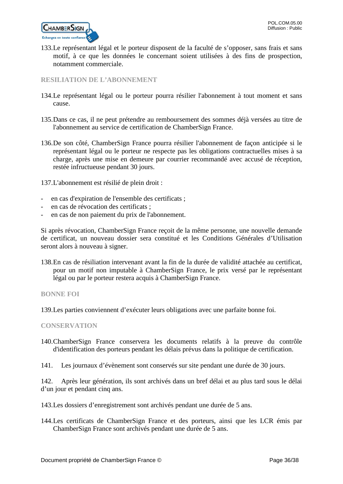

133.Le représentant légal et le porteur disposent de la faculté de s'opposer, sans frais et sans motif, à ce que les données le concernant soient utilisées à des fins de prospection, notamment commerciale.

# <span id="page-35-0"></span>**RESILIATION DE L'ABONNEMENT**

- 134.Le représentant légal ou le porteur pourra résilier l'abonnement à tout moment et sans cause.
- 135.Dans ce cas, il ne peut prétendre au remboursement des sommes déjà versées au titre de l'abonnement au service de certification de ChamberSign France.
- 136.De son côté, ChamberSign France pourra résilier l'abonnement de façon anticipée si le représentant légal ou le porteur ne respecte pas les obligations contractuelles mises à sa charge, après une mise en demeure par courrier recommandé avec accusé de réception, restée infructueuse pendant 30 jours.

137.L'abonnement est résilié de plein droit :

- en cas d'expiration de l'ensemble des certificats ;
- en cas de révocation des certificats :
- en cas de non paiement du prix de l'abonnement.

Si après révocation, ChamberSign France reçoit de la même personne, une nouvelle demande de certificat, un nouveau dossier sera constitué et les Conditions Générales d'Utilisation seront alors à nouveau à signer.

138.En cas de résiliation intervenant avant la fin de la durée de validité attachée au certificat, pour un motif non imputable à ChamberSign France, le prix versé par le représentant légal ou par le porteur restera acquis à ChamberSign France.

<span id="page-35-1"></span>**BONNE FOI**

139.Les parties conviennent d'exécuter leurs obligations avec une parfaite bonne foi.

#### <span id="page-35-2"></span>**CONSERVATION**

- 140.ChamberSign France conservera les documents relatifs à la preuve du contrôle d'identification des porteurs pendant les délais prévus dans la politique de certification.
- 141. Les journaux d'évènement sont conservés sur site pendant une durée de 30 jours.

142. Après leur génération, ils sont archivés dans un bref délai et au plus tard sous le délai d'un jour et pendant cinq ans.

- 143.Les dossiers d'enregistrement sont archivés pendant une durée de 5 ans.
- 144.Les certificats de ChamberSign France et des porteurs, ainsi que les LCR émis par ChamberSign France sont archivés pendant une durée de 5 ans.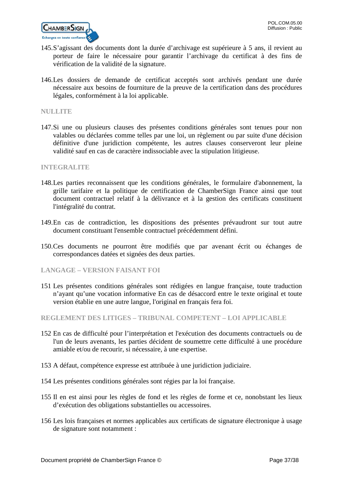

- 145.S'agissant des documents dont la durée d'archivage est supérieure à 5 ans, il revient au porteur de faire le nécessaire pour garantir l'archivage du certificat à des fins de vérification de la validité de la signature.
- 146.Les dossiers de demande de certificat acceptés sont archivés pendant une durée nécessaire aux besoins de fourniture de la preuve de la certification dans des procédures légales, conformément à la loi applicable.

### <span id="page-36-0"></span>**NULLITE**

147.Si une ou plusieurs clauses des présentes conditions générales sont tenues pour non valables ou déclarées comme telles par une loi, un règlement ou par suite d'une décision définitive d'une juridiction compétente, les autres clauses conserveront leur pleine validité sauf en cas de caractère indissociable avec la stipulation litigieuse.

#### <span id="page-36-1"></span>**INTEGRALITE**

- 148.Les parties reconnaissent que les conditions générales, le formulaire d'abonnement, la grille tarifaire et la politique de certification de ChamberSign France ainsi que tout document contractuel relatif à la délivrance et à la gestion des certificats constituent l'intégralité du contrat.
- 149.En cas de contradiction, les dispositions des présentes prévaudront sur tout autre document constituant l'ensemble contractuel précédemment défini.
- 150.Ces documents ne pourront être modifiés que par avenant écrit ou échanges de correspondances datées et signées des deux parties.
- **LANGAGE – VERSION FAISANT FOI**
- 151 Les présentes conditions générales sont rédigées en langue française, toute traduction n'ayant qu'une vocation informative En cas de désaccord entre le texte original et toute version établie en une autre langue, l'original en français fera foi.

<span id="page-36-2"></span>**REGLEMENT DES LITIGES – TRIBUNAL COMPETENT – LOI APPLICABLE**

- 152 En cas de difficulté pour l'interprétation et l'exécution des documents contractuels ou de l'un de leurs avenants, les parties décident de soumettre cette difficulté à une procédure amiable et/ou de recourir, si nécessaire, à une expertise.
- 153 A défaut, compétence expresse est attribuée à une juridiction judiciaire.
- 154 Les présentes conditions générales sont régies par la loi française.
- 155 Il en est ainsi pour les règles de fond et les règles de forme et ce, nonobstant les lieux d'exécution des obligations substantielles ou accessoires.
- 156 Les lois françaises et normes applicables aux certificats de signature électronique à usage de signature sont notamment :